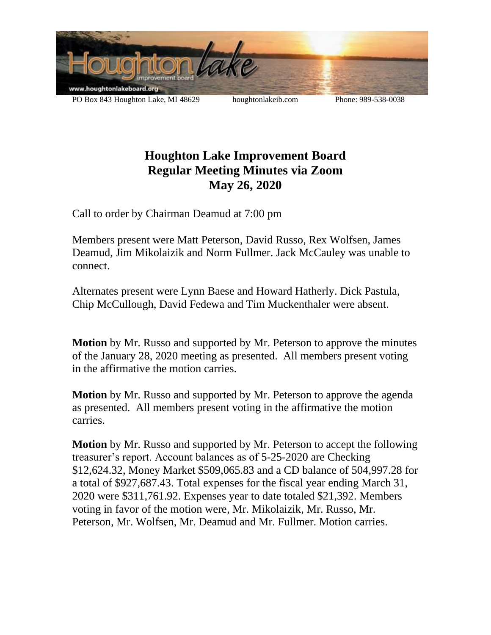

## **Houghton Lake Improvement Board Regular Meeting Minutes via Zoom May 26, 2020**

Call to order by Chairman Deamud at 7:00 pm

Members present were Matt Peterson, David Russo, Rex Wolfsen, James Deamud, Jim Mikolaizik and Norm Fullmer. Jack McCauley was unable to connect.

Alternates present were Lynn Baese and Howard Hatherly. Dick Pastula, Chip McCullough, David Fedewa and Tim Muckenthaler were absent.

**Motion** by Mr. Russo and supported by Mr. Peterson to approve the minutes of the January 28, 2020 meeting as presented. All members present voting in the affirmative the motion carries.

**Motion** by Mr. Russo and supported by Mr. Peterson to approve the agenda as presented. All members present voting in the affirmative the motion carries.

**Motion** by Mr. Russo and supported by Mr. Peterson to accept the following treasurer's report. Account balances as of 5-25-2020 are Checking \$12,624.32, Money Market \$509,065.83 and a CD balance of 504,997.28 for a total of \$927,687.43. Total expenses for the fiscal year ending March 31, 2020 were \$311,761.92. Expenses year to date totaled \$21,392. Members voting in favor of the motion were, Mr. Mikolaizik, Mr. Russo, Mr. Peterson, Mr. Wolfsen, Mr. Deamud and Mr. Fullmer. Motion carries.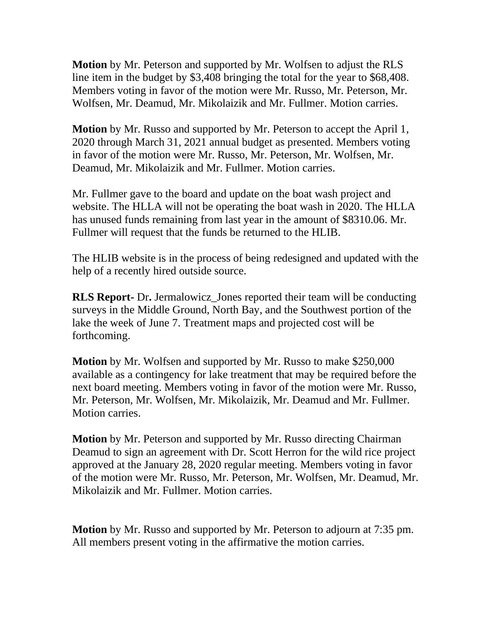**Motion** by Mr. Peterson and supported by Mr. Wolfsen to adjust the RLS line item in the budget by \$3,408 bringing the total for the year to \$68,408. Members voting in favor of the motion were Mr. Russo, Mr. Peterson, Mr. Wolfsen, Mr. Deamud, Mr. Mikolaizik and Mr. Fullmer. Motion carries.

**Motion** by Mr. Russo and supported by Mr. Peterson to accept the April 1, 2020 through March 31, 2021 annual budget as presented. Members voting in favor of the motion were Mr. Russo, Mr. Peterson, Mr. Wolfsen, Mr. Deamud, Mr. Mikolaizik and Mr. Fullmer. Motion carries.

Mr. Fullmer gave to the board and update on the boat wash project and website. The HLLA will not be operating the boat wash in 2020. The HLLA has unused funds remaining from last year in the amount of \$8310.06. Mr. Fullmer will request that the funds be returned to the HLIB.

The HLIB website is in the process of being redesigned and updated with the help of a recently hired outside source.

**RLS Report-** Dr**.** Jermalowicz\_Jones reported their team will be conducting surveys in the Middle Ground, North Bay, and the Southwest portion of the lake the week of June 7. Treatment maps and projected cost will be forthcoming.

**Motion** by Mr. Wolfsen and supported by Mr. Russo to make \$250,000 available as a contingency for lake treatment that may be required before the next board meeting. Members voting in favor of the motion were Mr. Russo, Mr. Peterson, Mr. Wolfsen, Mr. Mikolaizik, Mr. Deamud and Mr. Fullmer. Motion carries.

**Motion** by Mr. Peterson and supported by Mr. Russo directing Chairman Deamud to sign an agreement with Dr. Scott Herron for the wild rice project approved at the January 28, 2020 regular meeting. Members voting in favor of the motion were Mr. Russo, Mr. Peterson, Mr. Wolfsen, Mr. Deamud, Mr. Mikolaizik and Mr. Fullmer. Motion carries.

**Motion** by Mr. Russo and supported by Mr. Peterson to adjourn at 7:35 pm. All members present voting in the affirmative the motion carries.